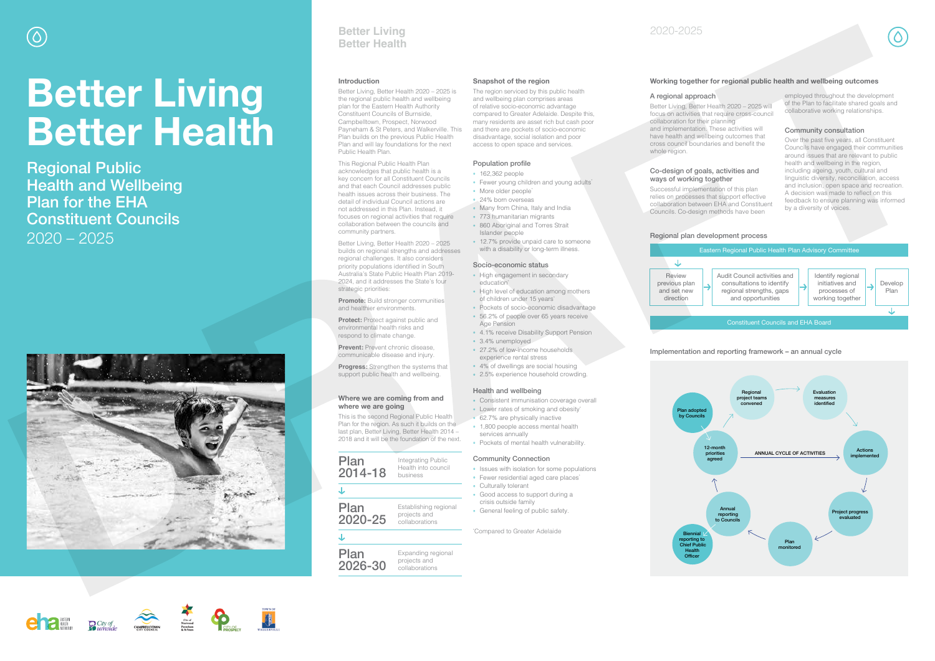### **Introduction**

Better Living, Better Health 2020 – 2025 is the regional public health and wellbeing plan for the Eastern Health Authority Constituent Councils of Burnside, Campbelltown, Prospect, Norwood Payneham & St Peters, and Walkerville. This Plan builds on the previous Public Health Plan and will lay foundations for the next Public Health Plan.

Better Living, Better Health 2020 – 2025 builds on regional strengths and addresses regional challenges. It also considers priority populations identified in South Australia's State Public Health Plan 2019- 2024, and it addresses the State's four strategic priorities:

**Promote:** Build stronger communities and healthier environments.

This Regional Public Health Plan acknowledges that public health is a key concern for all Constituent Councils and that each Council addresses public health issues across their business. The detail of individual Council actions are not addressed in this Plan. Instead, it focuses on regional activities that require collaboration between the councils and community partners.

**Protect:** Protect against public and environmental health risks and respond to climate change.

The region serviced by this public health and wellbeing plan comprises areas of relative socio-economic advantage compared to Greater Adelaide. Despite this, many residents are asset rich but cash poor and there are pockets of socio-economic disadvantage, social isolation and poor access to open space and services.

- 162,362 people
- Fewer young children and young adults\*
- · More older people<sup>\*</sup>
- 24% born overseas
- Many from China, Italy and India
- 773 humanitarian migrants • 860 Aboriginal and Torres Strait Islander people
- 12.7% provide unpaid care to someone with a disability or long-term illness.

**Prevent:** Prevent chronic disease, communicable disease and injury.

**Progress:** Strengthen the systems that support public health and wellbeing.

- High engagement in secondary education<sup>\*</sup>
- High level of education among mothers of children under 15 years<sup>\*</sup>
- Pockets of socio-economic disadvantage 56.2% of people over 65 years receive
- Age Pension
- 4.1% receive Disability Support Pension
- 3.4% unemployed
- 27.2% of low-income households experience rental stress
- 4% of dwellings are social housing

- Consistent immunisation coverage overall
- Lower rates of smoking and obesity\*
- 62.7% are physically inactive
- 1,800 people access mental health services annually
- Pockets of mental health vulnerability.

#### **Where we are coming from and where we are going**

This is the second Regional Public Health Plan for the region. As such it builds on the last plan, Better Living, Better Health 2014 – 2018 and it will be the foundation of the next.

#### **Snapshot of the region**

## Population profile

#### Socio-economic status

## 2.5% experience household crowding.

## Health and wellbeing

#### Community Connection

- Issues with isolation for some populations
- Fewer residential aged care places<sup>\*</sup>
- Culturally tolerant
- Good access to support during a crisis outside family
- General feeling of public safety.

\* Compared to Greater Adelaide

#### Implementation and reporting framework – an annual cycle

## A regional approach

Better Living, Better Health 2020 – 2025 will focus on activities that require cross-council

collaboration for their planning and implementation. These activities will whole region.

have health and wellbeing outcomes that cross council boundaries and benefit the

#### Co-design of goals, activities and ways of working together

Successful implementation of this plan

relies on processes that support effective collaboration between EHA and Constituent Councils. Co-design methods have been

employed throughout the development of the Plan to facilitate shared goals and collaborative working relationships.

#### Community consultation

Over the past five years, all Constituent Councils have engaged their communities around issues that are relevant to public health and wellbeing in the region, including ageing, youth, cultural and linguistic diversity, reconciliation, access and inclusion, open space and recreation. A decision was made to reflect on this feedback to ensure planning was informed by a diversity of voices.

# **Better Living Better Health**

Regional Public Health and Wellbeing Plan for the EHA Constituent Councils 2020 – 2025





# **Better Living Better Health**

2020-2025

## **Working together for regional public health and wellbeing outcomes**



#### 2026-30 projects and collaborations